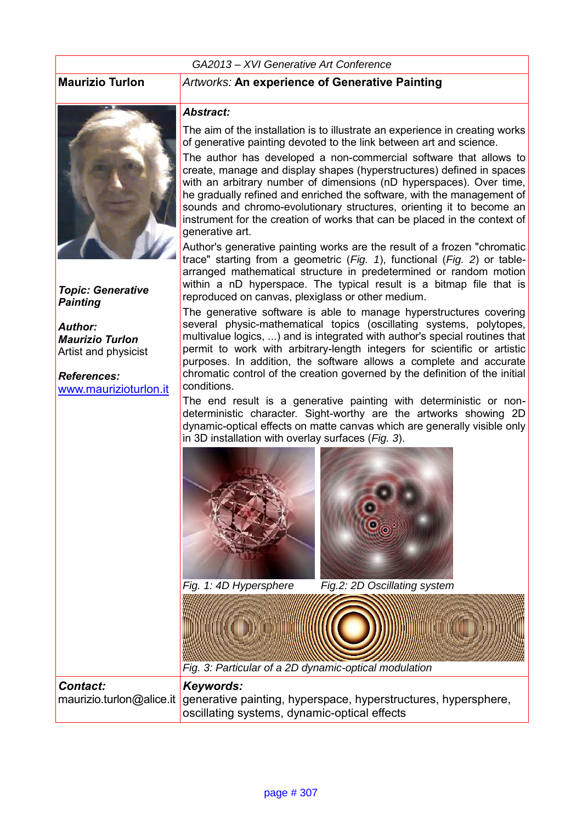#### *GA2013 – XVI Generative Art Conference*



*Topic: Generative Painting*

*Author: Maurizio Turlon* Artist and physicist

*References:* [www.maurizioturlon.it](http://www.generativeart.com/)

#### **Maurizio Turlon** *Artworks:* **An experience of Generative Painting**

#### *Abstract:*

The aim of the installation is to illustrate an experience in creating works of generative painting devoted to the link between art and science.

The author has developed a non-commercial software that allows to create, manage and display shapes (hyperstructures) defined in spaces with an arbitrary number of dimensions (nD hyperspaces). Over time, he gradually refined and enriched the software, with the management of sounds and chromo-evolutionary structures, orienting it to become an instrument for the creation of works that can be placed in the context of generative art.

Author's generative painting works are the result of a frozen "chromatic trace" starting from a geometric (*Fig. 1*), functional (*Fig. 2*) or tablearranged mathematical structure in predetermined or random motion within a nD hyperspace. The typical result is a bitmap file that is reproduced on canvas, plexiglass or other medium.

The generative software is able to manage hyperstructures covering several physic-mathematical topics (oscillating systems, polytopes, multivalue logics, ...) and is integrated with author's special routines that permit to work with arbitrary-length integers for scientific or artistic purposes. In addition, the software allows a complete and accurate chromatic control of the creation governed by the definition of the initial conditions.

The end result is a generative painting with deterministic or nondeterministic character. Sight-worthy are the artworks showing 2D dynamic-optical effects on matte canvas which are generally visible only in 3D installation with overlay surfaces (*Fig. 3*).



*Fig. 3: Particular of a 2D dynamic-optical modulation*

#### *Contact:* maurizio.turlon@alice.it *Keywords:*  generative painting, hyperspace, hyperstructures, hypersphere, oscillating systems, dynamic-optical effects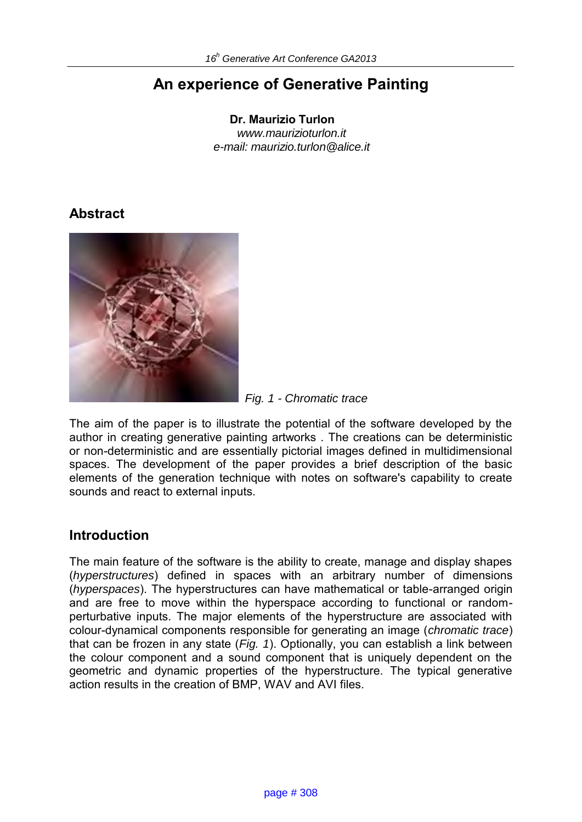# **An experience of Generative Painting**

**Dr. Maurizio Turlon**  *www.maurizioturlon.it e-mail: maurizio.turlon@alice.it* 

## **Abstract**



 *Fig. 1 - Chromatic trace* 

The aim of the paper is to illustrate the potential of the software developed by the author in creating generative painting artworks . The creations can be deterministic or non-deterministic and are essentially pictorial images defined in multidimensional spaces. The development of the paper provides a brief description of the basic elements of the generation technique with notes on software's capability to create sounds and react to external inputs.

## **Introduction**

The main feature of the software is the ability to create, manage and display shapes (*hyperstructures*) defined in spaces with an arbitrary number of dimensions (*hyperspaces*). The hyperstructures can have mathematical or table-arranged origin and are free to move within the hyperspace according to functional or randomperturbative inputs. The major elements of the hyperstructure are associated with colour-dynamical components responsible for generating an image (*chromatic trace*) that can be frozen in any state (*Fig. 1*). Optionally, you can establish a link between the colour component and a sound component that is uniquely dependent on the geometric and dynamic properties of the hyperstructure. The typical generative action results in the creation of BMP, WAV and AVI files.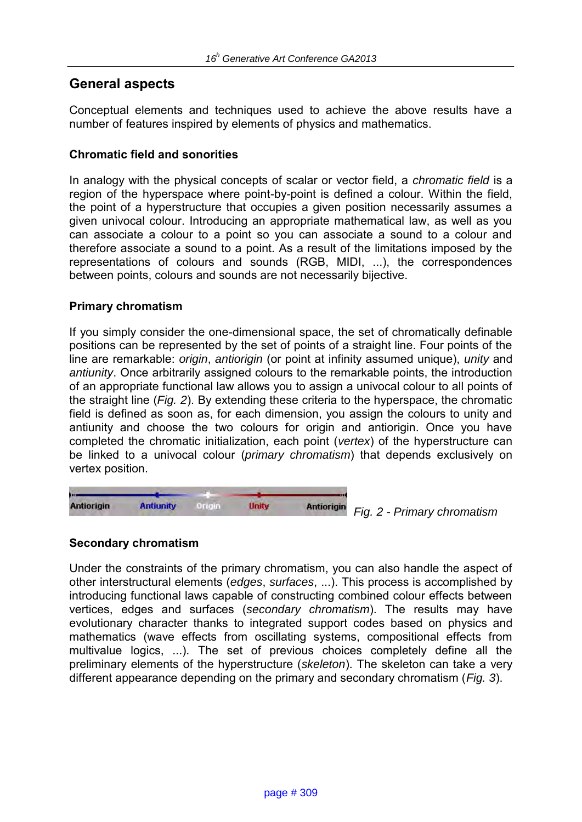## **General aspects**

Conceptual elements and techniques used to achieve the above results have a number of features inspired by elements of physics and mathematics.

#### **Chromatic field and sonorities**

In analogy with the physical concepts of scalar or vector field, a *chromatic field* is a region of the hyperspace where point-by-point is defined a colour. Within the field, the point of a hyperstructure that occupies a given position necessarily assumes a given univocal colour. Introducing an appropriate mathematical law, as well as you can associate a colour to a point so you can associate a sound to a colour and therefore associate a sound to a point. As a result of the limitations imposed by the representations of colours and sounds (RGB, MIDI, ...), the correspondences between points, colours and sounds are not necessarily bijective.

#### **Primary chromatism**

If you simply consider the one-dimensional space, the set of chromatically definable positions can be represented by the set of points of a straight line. Four points of the line are remarkable: *origin*, *antiorigin* (or point at infinity assumed unique), *unity* and *antiunity*. Once arbitrarily assigned colours to the remarkable points, the introduction of an appropriate functional law allows you to assign a univocal colour to all points of the straight line (*Fig. 2*). By extending these criteria to the hyperspace, the chromatic field is defined as soon as, for each dimension, you assign the colours to unity and antiunity and choose the two colours for origin and antiorigin. Once you have completed the chromatic initialization, each point (*vertex*) of the hyperstructure can be linked to a univocal colour (*primary chromatism*) that depends exclusively on vertex position.



 *Fig. 2 - Primary chromatism* 

#### **Secondary chromatism**

Under the constraints of the primary chromatism, you can also handle the aspect of other interstructural elements (*edges*, *surfaces*, ...). This process is accomplished by introducing functional laws capable of constructing combined colour effects between vertices, edges and surfaces (*secondary chromatism*). The results may have evolutionary character thanks to integrated support codes based on physics and mathematics (wave effects from oscillating systems, compositional effects from multivalue logics, ...). The set of previous choices completely define all the preliminary elements of the hyperstructure (*skeleton*). The skeleton can take a very different appearance depending on the primary and secondary chromatism (*Fig. 3*).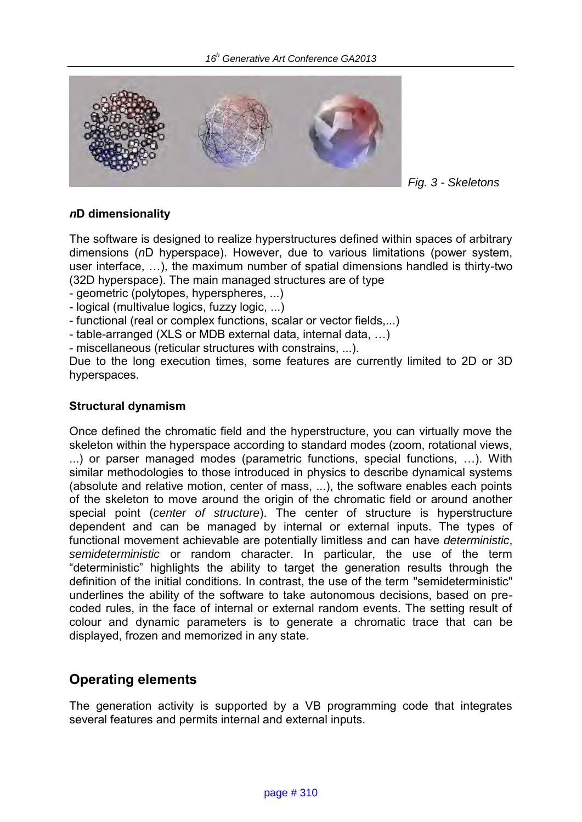

 *Fig. 3 - Skeletons* 

#### *n***D dimensionality**

The software is designed to realize hyperstructures defined within spaces of arbitrary dimensions (*n*D hyperspace). However, due to various limitations (power system, user interface, …), the maximum number of spatial dimensions handled is thirty-two (32D hyperspace). The main managed structures are of type

- geometric (polytopes, hyperspheres, ...)

- logical (multivalue logics, fuzzy logic, ...)

- functional (real or complex functions, scalar or vector fields,...)

- table-arranged (XLS or MDB external data, internal data, …)

- miscellaneous (reticular structures with constrains, ...).

Due to the long execution times, some features are currently limited to 2D or 3D hyperspaces.

#### **Structural dynamism**

Once defined the chromatic field and the hyperstructure, you can virtually move the skeleton within the hyperspace according to standard modes (zoom, rotational views, ...) or parser managed modes (parametric functions, special functions, …). With similar methodologies to those introduced in physics to describe dynamical systems (absolute and relative motion, center of mass, ...), the software enables each points of the skeleton to move around the origin of the chromatic field or around another special point (*center of structure*). The center of structure is hyperstructure dependent and can be managed by internal or external inputs. The types of functional movement achievable are potentially limitless and can have *deterministic*, *semideterministic* or random character. In particular, the use of the term "deterministic" highlights the ability to target the generation results through the definition of the initial conditions. In contrast, the use of the term "semideterministic" underlines the ability of the software to take autonomous decisions, based on precoded rules, in the face of internal or external random events. The setting result of colour and dynamic parameters is to generate a chromatic trace that can be displayed, frozen and memorized in any state.

### **Operating elements**

The generation activity is supported by a VB programming code that integrates several features and permits internal and external inputs.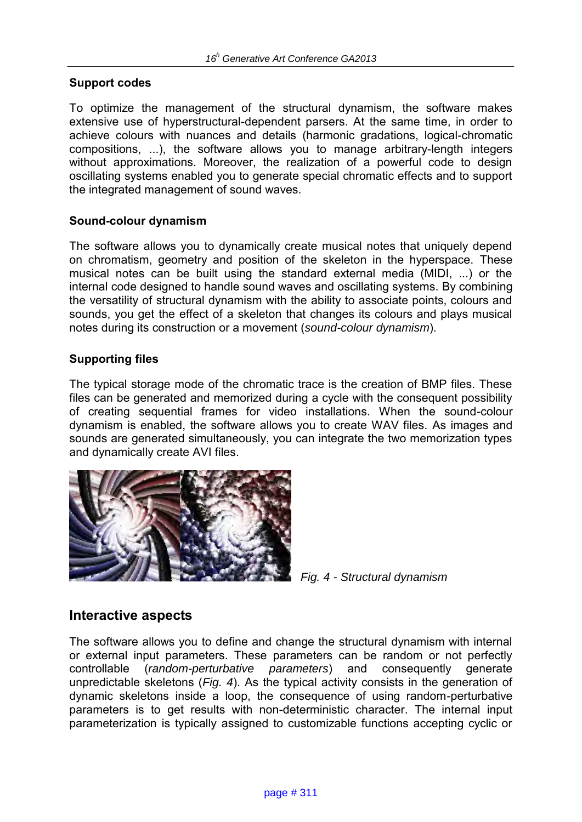#### **Support codes**

To optimize the management of the structural dynamism, the software makes extensive use of hyperstructural-dependent parsers. At the same time, in order to achieve colours with nuances and details (harmonic gradations, logical-chromatic compositions, ...), the software allows you to manage arbitrary-length integers without approximations. Moreover, the realization of a powerful code to design oscillating systems enabled you to generate special chromatic effects and to support the integrated management of sound waves.

#### **Sound-colour dynamism**

The software allows you to dynamically create musical notes that uniquely depend on chromatism, geometry and position of the skeleton in the hyperspace. These musical notes can be built using the standard external media (MIDI, ...) or the internal code designed to handle sound waves and oscillating systems. By combining the versatility of structural dynamism with the ability to associate points, colours and sounds, you get the effect of a skeleton that changes its colours and plays musical notes during its construction or a movement (*sound-colour dynamism*).

#### **Supporting files**

The typical storage mode of the chromatic trace is the creation of BMP files. These files can be generated and memorized during a cycle with the consequent possibility of creating sequential frames for video installations. When the sound-colour dynamism is enabled, the software allows you to create WAV files. As images and sounds are generated simultaneously, you can integrate the two memorization types and dynamically create AVI files.





### **Interactive aspects**

The software allows you to define and change the structural dynamism with internal or external input parameters. These parameters can be random or not perfectly controllable (*random-perturbative parameters*) and consequently generate unpredictable skeletons (*Fig. 4*). As the typical activity consists in the generation of dynamic skeletons inside a loop, the consequence of using random-perturbative parameters is to get results with non-deterministic character. The internal input parameterization is typically assigned to customizable functions accepting cyclic or